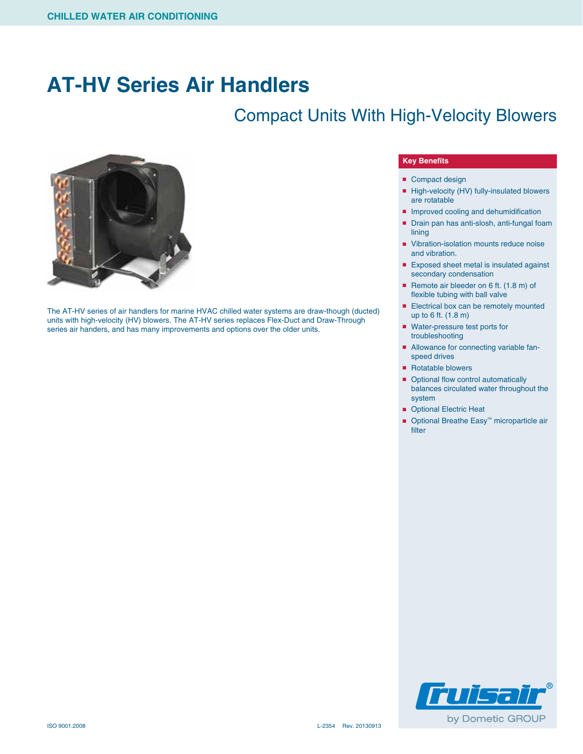## **AT-HV Series Air Handlers**

### Compact Units With High-Velocity Blowers



The AT-HV series of air handlers for marine HVAC chilled water systems are draw-though (ducted) units with high-velocity (HV) blowers. The AT-HV series replaces Flex-Duct and Draw-Through series air handers, and has many improvements and options over the older units.

#### **Key Benefits**

- Compact design
- High-velocity (HV) fully-insulated blowers are rotatable
- Improved cooling and dehumidification
- Drain pan has anti-slosh, anti-fungal foam lining
- Vibration-isolation mounts reduce noise and vibration.
- Exposed sheet metal is insulated against secondary condensation
- Remote air bleeder on 6 ft. (1.8 m) of flexible tubing with ball valve
- Electrical box can be remotely mounted up to 6 ft. (1.8 m)
- Water-pressure test ports for troubleshooting
- Allowance for connecting variable fanspeed drives
- Rotatable blowers
- Optional flow control automatically balances circulated water throughout the system
- Optional Electric Heat
- Optional Breathe Easy<sup>™</sup> microparticle air filter